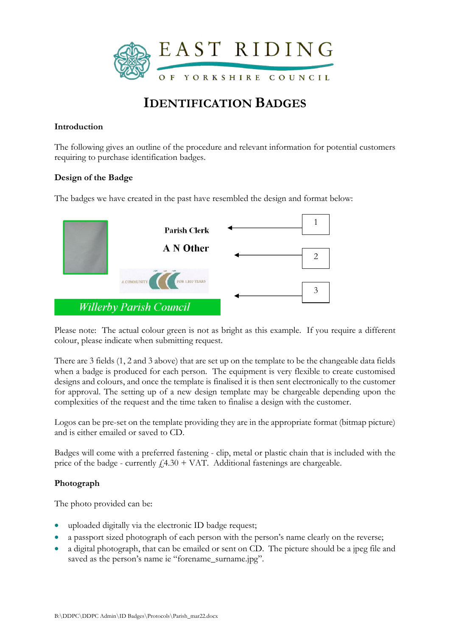

# **IDENTIFICATION BADGES**

## **Introduction**

The following gives an outline of the procedure and relevant information for potential customers requiring to purchase identification badges.

### **Design of the Badge**

The badges we have created in the past have resembled the design and format below:



Please note: The actual colour green is not as bright as this example. If you require a different colour, please indicate when submitting request.

There are 3 fields (1, 2 and 3 above) that are set up on the template to be the changeable data fields when a badge is produced for each person. The equipment is very flexible to create customised designs and colours, and once the template is finalised it is then sent electronically to the customer for approval. The setting up of a new design template may be chargeable depending upon the complexities of the request and the time taken to finalise a design with the customer.

Logos can be pre-set on the template providing they are in the appropriate format (bitmap picture) and is either emailed or saved to CD.

Badges will come with a preferred fastening - clip, metal or plastic chain that is included with the price of the badge - currently  $f4.30 + VAT$ . Additional fastenings are chargeable.

# **Photograph**

The photo provided can be:

- uploaded digitally via the electronic ID badge request;
- a passport sized photograph of each person with the person's name clearly on the reverse;
- a digital photograph, that can be emailed or sent on CD. The picture should be a jpeg file and saved as the person's name ie "forename\_surname.jpg".